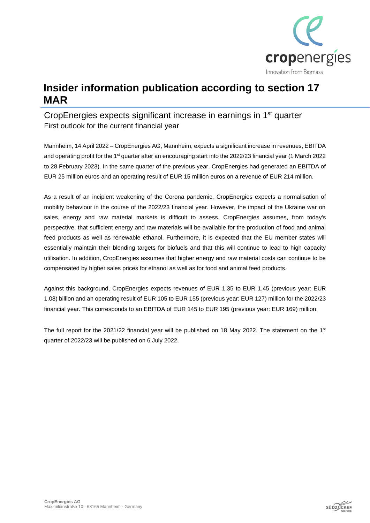

## **Insider information publication according to section 17 MAR**

### CropEnergies expects significant increase in earnings in 1<sup>st</sup> quarter First outlook for the current financial year

Mannheim, 14 April 2022 – CropEnergies AG, Mannheim, expects a significant increase in revenues, EBITDA and operating profit for the 1<sup>st</sup> quarter after an encouraging start into the 2022/23 financial year (1 March 2022 to 28 February 2023). In the same quarter of the previous year, CropEnergies had generated an EBITDA of EUR 25 million euros and an operating result of EUR 15 million euros on a revenue of EUR 214 million.

As a result of an incipient weakening of the Corona pandemic, CropEnergies expects a normalisation of mobility behaviour in the course of the 2022/23 financial year. However, the impact of the Ukraine war on sales, energy and raw material markets is difficult to assess. CropEnergies assumes, from today's perspective, that sufficient energy and raw materials will be available for the production of food and animal feed products as well as renewable ethanol. Furthermore, it is expected that the EU member states will essentially maintain their blending targets for biofuels and that this will continue to lead to high capacity utilisation. In addition, CropEnergies assumes that higher energy and raw material costs can continue to be compensated by higher sales prices for ethanol as well as for food and animal feed products.

Against this background, CropEnergies expects revenues of EUR 1.35 to EUR 1.45 (previous year: EUR 1.08) billion and an operating result of EUR 105 to EUR 155 (previous year: EUR 127) million for the 2022/23 financial year. This corresponds to an EBITDA of EUR 145 to EUR 195 (previous year: EUR 169) million.

The full report for the 2021/22 financial year will be published on 18 May 2022. The statement on the 1st quarter of 2022/23 will be published on 6 July 2022.